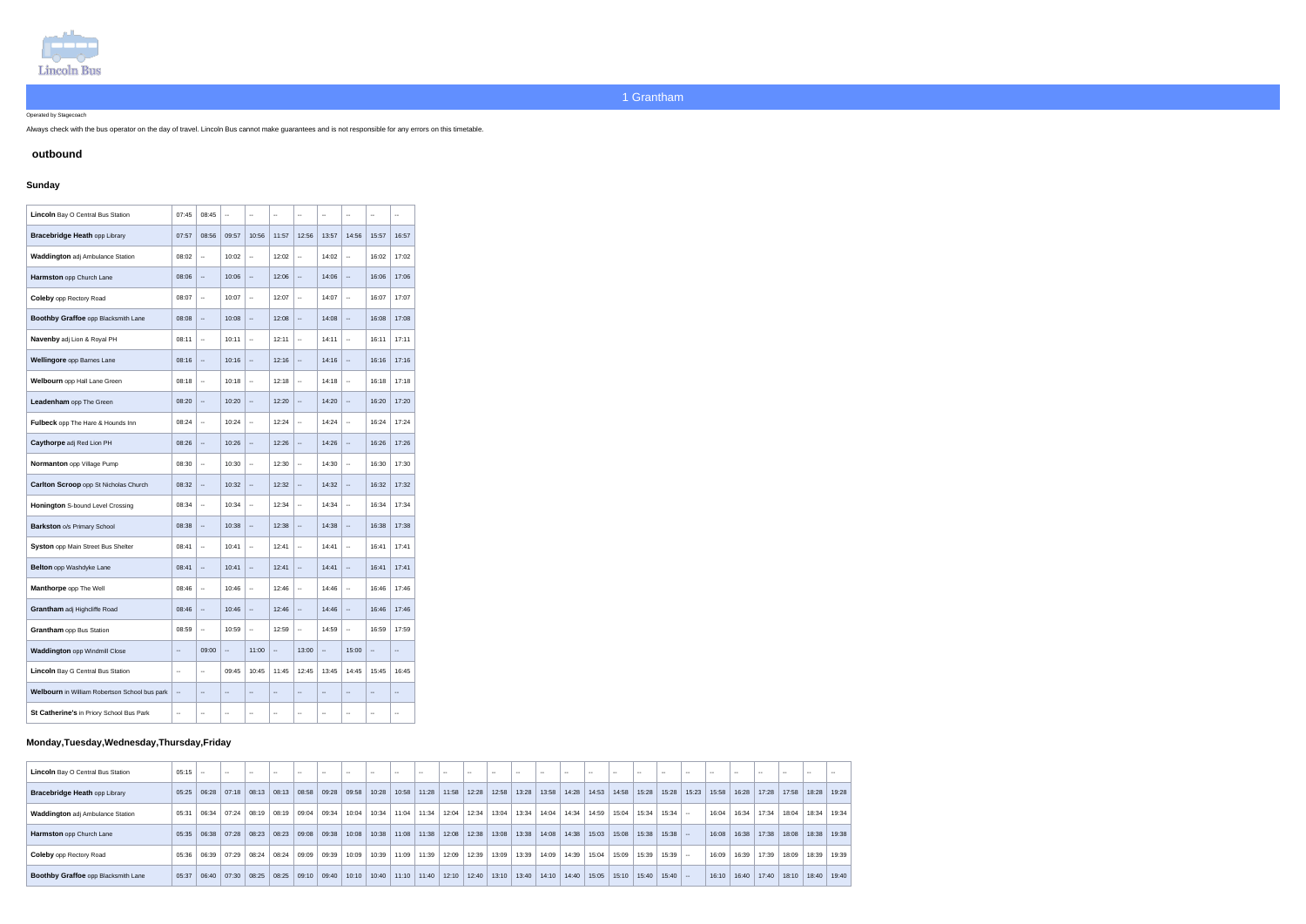

Operated by Stagecoach

Always check with the bus operator on the day of travel. Lincoln Bus cannot make guarantees and is not responsible for any errors on this timetable.

## **outbound**

# **Sunday**

| Lincoln Bay O Central Bus Station             | 07:45                    | 08:45                                         | $\overline{\phantom{a}}$ | $\overline{\phantom{a}}$ | $\sim$ $\sim$                 | $\sim$                                        | $\overline{a}$           | $\sim$ $\sim$                                 | $\overline{a}$           | $\overline{\phantom{a}}$ |
|-----------------------------------------------|--------------------------|-----------------------------------------------|--------------------------|--------------------------|-------------------------------|-----------------------------------------------|--------------------------|-----------------------------------------------|--------------------------|--------------------------|
| <b>Bracebridge Heath opp Library</b>          | 07:57                    | 08:56                                         | 09:57                    | 10:56                    | 11:57                         | 12:56                                         | 13:57                    | 14:56                                         | 15:57                    | 16:57                    |
| <b>Waddington adj Ambulance Station</b>       | 08:02                    | $\overline{\phantom{a}}$                      | 10:02                    | $\overline{\phantom{a}}$ | 12:02                         | $\mathord{\hspace{1pt}\text{--}\hspace{1pt}}$ | 14:02                    | $\overline{\phantom{a}}$                      | 16:02                    | 17:02                    |
| Harmston opp Church Lane                      | 08:06                    | $\overline{\phantom{a}}$                      | 10:06                    | $\overline{\phantom{a}}$ | 12:06                         | $\overline{\phantom{a}}$                      | 14:06                    | $\overline{\phantom{a}}$                      | 16:06                    | 17:06                    |
| <b>Coleby opp Rectory Road</b>                | 08:07                    | $\overline{\phantom{a}}$                      | 10:07                    | $\overline{\phantom{a}}$ | 12:07                         | $\mathcal{L}_{\mathcal{F}}$                   | 14:07                    | $\overline{\phantom{a}}$                      | 16:07                    | 17:07                    |
| Boothby Graffoe opp Blacksmith Lane           | 08:08                    | $\overline{\phantom{a}}$                      | 10:08                    | $\overline{\phantom{a}}$ | 12:08                         | $\mathord{\hspace{1pt}\text{--}\hspace{1pt}}$ | 14:08                    | $\overline{\phantom{a}}$                      | 16:08                    | 17:08                    |
| Navenby adj Lion & Royal PH                   | 08:11                    | $\mathord{\hspace{1pt}\text{--}\hspace{1pt}}$ | 10:11                    | $\overline{\phantom{a}}$ | 12:11                         | $\mathord{\text{--}}$                         | 14:11                    | $\overline{\phantom{a}}$                      | 16:11                    | 17:11                    |
| Wellingore opp Barnes Lane                    | 08:16                    | $\overline{\phantom{a}}$                      | 10:16                    | $\overline{\phantom{a}}$ | 12:16                         | $\mathord{\hspace{1pt}\text{--}\hspace{1pt}}$ | 14:16                    | $\overline{\phantom{a}}$                      | 16:16                    | 17:16                    |
| Welbourn opp Hall Lane Green                  | 08:18                    | $\mathcal{L}_{\mathcal{F}}$                   | 10:18                    | $\overline{\phantom{a}}$ | 12:18                         | $\mathcal{L}_{\mathcal{F}}$                   | 14:18                    | $\overline{\phantom{a}}$                      | 16:18                    | 17:18                    |
| Leadenham opp The Green                       | 08:20                    | $\mathord{\hspace{1pt}\text{--}\hspace{1pt}}$ | 10:20                    | $\overline{\phantom{a}}$ | 12:20                         | $\mathord{\hspace{1pt}\text{--}\hspace{1pt}}$ | 14:20                    | $\overline{\phantom{a}}$                      | 16:20                    | 17:20                    |
| Fulbeck opp The Hare & Hounds Inn             | 08:24                    | $\overline{\phantom{a}}$                      | 10:24                    | $\overline{\phantom{a}}$ | 12:24                         | $\sim$                                        | 14:24                    | $\overline{\phantom{a}}$                      | 16:24                    | 17:24                    |
| Caythorpe adj Red Lion PH                     | 08:26                    | $\overline{\phantom{a}}$                      | 10:26                    | $\overline{\phantom{a}}$ | 12:26                         | $\mathord{\hspace{1pt}\text{--}\hspace{1pt}}$ | 14:26                    | $\overline{\phantom{a}}$                      | 16:26                    | 17:26                    |
| Normanton opp Village Pump                    | 08:30                    | $\overline{\phantom{a}}$                      | 10:30                    | $\overline{\phantom{a}}$ | 12:30                         | $\sim$                                        | 14:30                    | $\overline{\phantom{a}}$                      | 16:30                    | 17:30                    |
| Carlton Scroop opp St Nicholas Church         | 08:32                    | $\overline{\phantom{a}}$                      | 10:32                    | $\overline{\phantom{a}}$ | 12:32                         | $\mathcal{L}_{\mathcal{F}}$                   | 14:32                    | $\overline{\phantom{a}}$                      | 16:32                    | 17:32                    |
| Honington S-bound Level Crossing              | 08:34                    | $\mathcal{L}_{\mathcal{F}}$                   | 10:34                    | $\overline{\phantom{a}}$ | 12:34                         | $\mathord{\hspace{1pt}\text{--}\hspace{1pt}}$ | 14:34                    | $\mathord{\hspace{1pt}\text{--}\hspace{1pt}}$ | 16:34                    | 17:34                    |
| <b>Barkston o/s Primary School</b>            | 08:38                    | $\mathord{\hspace{1pt}\text{--}\hspace{1pt}}$ | 10:38                    | $\overline{\phantom{a}}$ | 12:38                         | $\mathord{\hspace{1pt}\text{--}\hspace{1pt}}$ | 14:38                    | $\overline{\phantom{a}}$                      | 16:38                    | 17:38                    |
| Syston opp Main Street Bus Shelter            | 08:41                    | $\mathord{\hspace{1pt}\text{--}\hspace{1pt}}$ | 10:41                    | --                       | 12:41                         | $\mathord{\hspace{1pt}\text{--}\hspace{1pt}}$ | 14:41                    | $\overline{\phantom{a}}$                      | 16:41                    | 17:41                    |
| <b>Belton</b> opp Washdyke Lane               | 08:41                    | $\overline{\phantom{a}}$                      | 10:41                    | $\frac{1}{2}$            | 12:41                         | $\overline{\phantom{a}}$                      | 14:41                    | $\overline{\phantom{a}}$                      | 16:41                    | 17:41                    |
| Manthorpe opp The Well                        | 08:46                    | $\overline{\phantom{a}}$                      | 10:46                    | Ξ.                       | 12:46                         | $\overline{\phantom{a}}$                      | 14:46                    | $\overline{\phantom{a}}$                      | 16:46                    | 17:46                    |
| Grantham adj Highcliffe Road                  | 08:46                    | $\overline{\phantom{a}}$                      | 10:46                    | $\overline{\phantom{a}}$ | 12:46                         | $\qquad \qquad \qquad \blacksquare$           | 14:46                    | $\overline{\phantom{a}}$                      | 16:46                    | 17:46                    |
| <b>Grantham</b> opp Bus Station               | 08:59                    | $\mathcal{L}_{\mathcal{P}}$                   | 10:59                    | Ξ.                       | 12:59                         | $\mathbb{Z}^2$                                | 14:59                    | $\overline{\phantom{a}}$                      | 16:59                    | 17:59                    |
| <b>Waddington opp Windmill Close</b>          | --                       | 09:00                                         | ۰.                       | 11:00                    | $\qquad \qquad \qquad \qquad$ | 13:00                                         | --                       | 15:00                                         | --                       | $\overline{\phantom{m}}$ |
| <b>Lincoln</b> Bay G Central Bus Station      | $\sim$ $\sim$            | $\mathcal{L}_{\mathcal{F}}$                   | 09:45                    | 10:45                    | 11:45                         | 12:45                                         | 13:45                    | 14:45                                         | 15:45                    | 16:45                    |
| Welbourn in William Robertson School bus park | $\overline{\phantom{a}}$ | $\overline{\phantom{a}}$                      | $\qquad \qquad -$        | $\overline{\phantom{a}}$ | $\qquad \qquad \blacksquare$  | $\mathord{\hspace{1pt}\text{--}\hspace{1pt}}$ | $-\, -$                  | $\overline{\phantom{a}}$                      | $\overline{\phantom{a}}$ | $\overline{\phantom{a}}$ |
| St Catherine's in Priory School Bus Park      | $\overline{\phantom{a}}$ | $\overline{\phantom{a}}$                      | --                       | $\overline{\phantom{a}}$ | --                            | $\overline{\phantom{a}}$                      | $\overline{\phantom{a}}$ | $\overline{\phantom{a}}$                      | --                       | ۰.                       |

# **Monday,Tuesday,Wednesday,Thursday,Friday**

| <b>Lincoln</b> Bay O Central Bus Station   | 05:15 |               |       |                         |       |                                                                 |       |       |       | $- -$ |                                       |       |       |       | $-1$ |                         |                               |       |       | $- -$                |                               |       |       |       | $-1$  |                               |  |
|--------------------------------------------|-------|---------------|-------|-------------------------|-------|-----------------------------------------------------------------|-------|-------|-------|-------|---------------------------------------|-------|-------|-------|------|-------------------------|-------------------------------|-------|-------|----------------------|-------------------------------|-------|-------|-------|-------|-------------------------------|--|
| <b>Bracebridge Heath opp Library</b>       |       |               |       |                         |       | $05:25$   06:28   07:18   08:13   08:13   08:58   09:28   09:58 |       | 10:28 | 10:58 |       | 11:28   11:58   12:28                 |       | 12:58 |       |      |                         | 13:28   13:58   14:28   14:53 | 14:58 |       |                      | 15:28   15:28   15:23   15:58 |       | 16:28 |       |       | 17:28   17:58   18:28   19:28 |  |
| <b>Waddington adj Ambulance Station</b>    | 05:31 | 06:34         |       | $07:24$ $08:19$ $08:19$ |       | $09.04$ 09:34                                                   | 10:04 | 10:34 | 11:04 |       | 11:34 12:04                           | 12:34 | 13:04 | 13:34 |      | 14:04   14:34           | 14:59                         | 15:04 | 15:34 | $15:34$ -            |                               | 16:04 | 16:34 | 17:34 | 18:04 | 18:34 19:34                   |  |
| <b>Harmston</b> opp Church Lane            |       | $05:35$ 06:38 |       | $07:28$ 08:23           | 08:23 | 09.08   09.38                                                   | 10:08 |       |       |       | 10:38   11:08   11:38   12:08   12:38 |       | 13:08 | 13:38 |      |                         | 14:08   14:38   15:03         | 15:08 |       | $15:38$   15:38   -- |                               | 16:08 | 16:38 | 17:38 |       | 18:08   18:38   19:38         |  |
| <b>Coleby</b> opp Rectory Road             | 05:36 | 06:39         | 07:29 | 08:24                   | 08:24 | 09:09 09:39                                                     | 10:09 | 10:39 | 11:09 |       | 11:39 12:09                           | 12:39 | 13:09 | 13:39 |      | 14:09 14:39 1           | 15:04                         | 15:09 | 15:39 | $15:39$ -            |                               | 16:09 | 16:39 | 17:39 | 18:09 | 18:39 19:39                   |  |
| <b>Boothby Graffoe opp Blacksmith Lane</b> | 05:37 | 06:40         |       | $07:30$ 08:25           | 08:25 | 09:10 09:40                                                     | 10:10 |       |       |       | 10:40   11:10   11:40   12:10   12:40 |       | 13:10 | 13:40 |      | $14:10$   14:40   15:05 |                               | 15:10 |       | $15:40$   15:40   -- |                               | 16:10 | 16:40 | 17:40 | 18:10 | 18:40 19:40                   |  |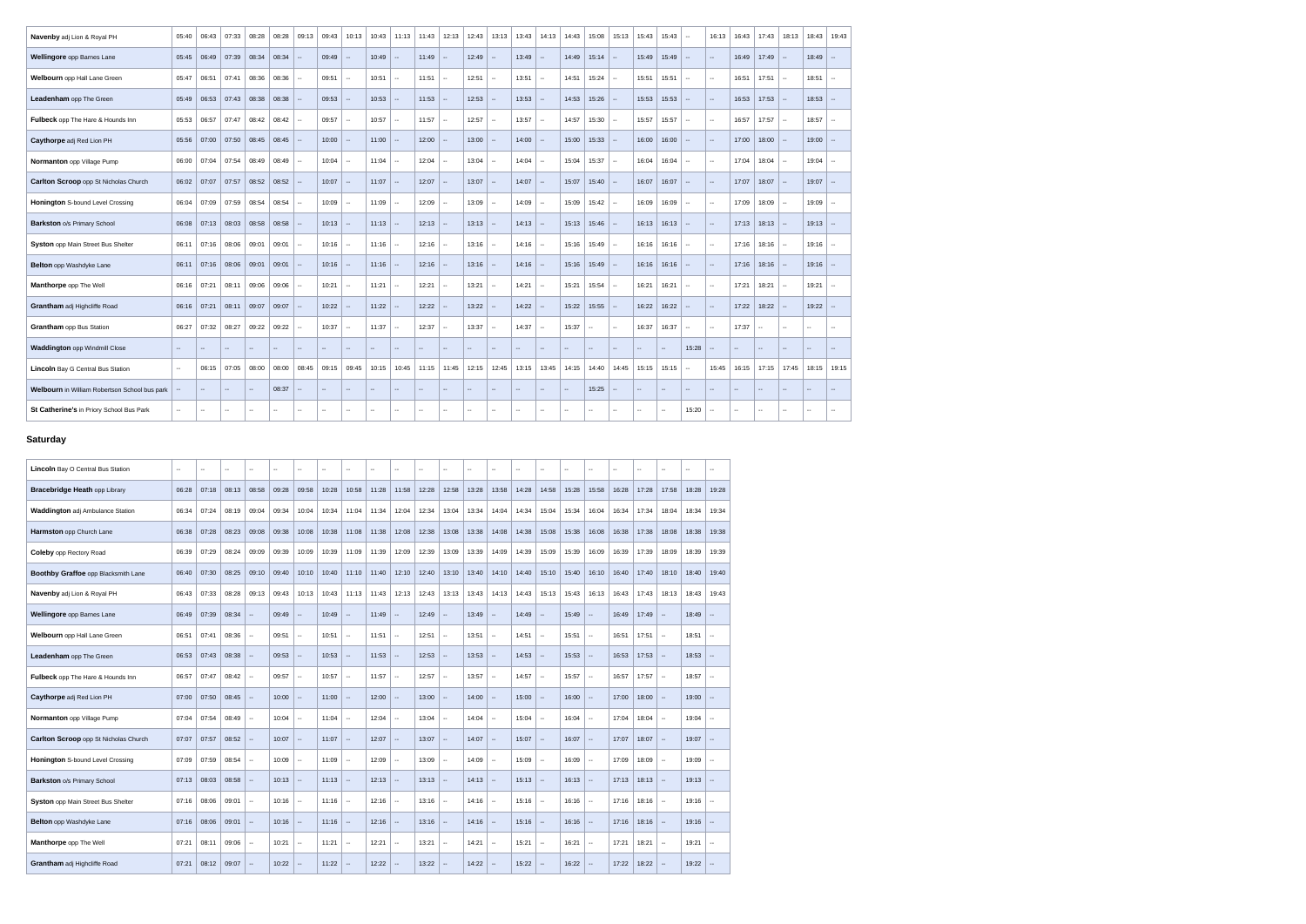| <b>Navenby adj Lion &amp; Royal PH</b>        | 05:40         | 06:43                       | 07:33  | 08:28          | 08:28  | 09:13  | 09:43                                         | 10:13                                         | 10:43                    | 11:13                    | 11:43         | 12:13          | 12:43                                         | 13:13                    | 13:43                    | 14:13          | 14:43  | 15:08         | 15:13           | 15:43                    | 15:43                       | $\sim$ | 16:13                                         | 16:43  | 17:43                    | 18:13                       | $18:43$   19:43          |                          |
|-----------------------------------------------|---------------|-----------------------------|--------|----------------|--------|--------|-----------------------------------------------|-----------------------------------------------|--------------------------|--------------------------|---------------|----------------|-----------------------------------------------|--------------------------|--------------------------|----------------|--------|---------------|-----------------|--------------------------|-----------------------------|--------|-----------------------------------------------|--------|--------------------------|-----------------------------|--------------------------|--------------------------|
| Wellingore opp Barnes Lane                    | 05:45         | 06:49                       | 07:39  | 08:34          | 08:34  | $\sim$ | 09:49                                         | $\sim$                                        | 10:49                    | $\sim$                   | 11:49         | $\sim$         | 12:49                                         | $\sim$                   | 13:49                    | $\sim$         | 14:49  | $15:14$ -     |                 | 15:49                    | 15:49                       | $\sim$ | $\sim$                                        | 16:49  | 17:49                    | $\mathcal{L}_{\mathcal{A}}$ | 18:49                    |                          |
| Welbourn opp Hall Lane Green                  | 05:47         | 06:51                       | 07:41  | 08:36          | 08:36  | $\sim$ | 09:51                                         | $\sim$                                        | 10:51                    | $\sim$                   | 11:51         | $\sim$         | 12:51                                         | $\mathbb{Z}^2$           | 13:51                    | $\sim$         | 14:51  | 15:24         | $\sim$          | 15:51                    | 15:51                       | $\sim$ | $\sim$                                        | 16:51  | 17:51                    | $\mathbb{L}^{\mathbb{Z}}$   | 18:51                    |                          |
| Leadenham opp The Green                       | 05:49         | 06:53                       | 07:43  | 08:38          | 08:38  | $\sim$ | 09:53                                         | $\sim$                                        | 10:53                    | $\sim$                   | 11:53         | $\sim$         | 12:53                                         | u.                       | 13:53                    | $\sim$         | 14:53  | $15:26$ --    |                 | 15:53                    | 15:53                       | $\sim$ | $\sim$                                        | 16:53  | 17:53                    | $\mathcal{L}_{\mathcal{A}}$ | 18:53                    |                          |
| Fulbeck opp The Hare & Hounds Inn             | 05:53         | 06:57                       | 07:47  | 08:42          | 08:42  | $\sim$ | 09:57                                         | $\sim$                                        | 10:57                    | $\sim$                   | 11:57         | $\sim$         | 12:57                                         | $\mathbb{Z}^2$           | 13:57                    | $\sim$         | 14:57  | $15:30$ -     |                 | 15:57                    | 15:57                       | $\sim$ | $\sim$                                        | 16:57  | 17:57                    | $\sim$                      | 18:57                    | $\sim$                   |
| Caythorpe adj Red Lion PH                     | 05:56         | 07:00                       | 07:50  | 08:45          | 08:45  | $\sim$ | 10:00                                         | $\sim$                                        | 11:00                    | $\sim$                   | 12:00         | $\sim$         | 13:00                                         | $\sim$                   | 14:00                    | $\sim$         | 15:00  | $15:33$ -     |                 | 16:00                    | 16:00                       | $\sim$ | $\sim$                                        | 17:00  | 18:00                    | $\sim$                      | 19:00                    |                          |
| Normanton opp Village Pump                    | 06:00         | 07:04                       | 07:54  | 08:49          | 08:49  | $\sim$ | 10:04                                         | $\sim$                                        | 11:04                    | $\sim$                   | 12:04         | $\mathbb{Z}^2$ | 13:04                                         | Ш,                       | 14:04                    | $\sim$         | 15:04  | 15:37         | $\sim$          | 16:04                    | 16:04                       | $\sim$ | $\sim$                                        | 17:04  | 18:04                    | $\overline{\phantom{a}}$    | 19:04                    |                          |
| <b>Carlton Scroop</b> opp St Nicholas Church  | 06:02         | 07:07                       | 07:57  | 08:52          | 08:52  |        | 10:07                                         | $\sim$                                        | 11:07                    | $\sim$                   | 12:07         | $\sim$         | 13:07                                         | $\sim$                   | 14:07                    | $\sim$         | 15:07  | 15:40         | $\sim$          | 16:07                    | 16:07                       | $\sim$ | $\sim$                                        | 17:07  | 18:07                    | $\overline{a}$              | 19:07                    |                          |
| Honington S-bound Level Crossing              | 06:04         | 07:09                       | 07:59  | 08:54          | 08:54  | $\sim$ | 10:09                                         | $\sim$                                        | 11:09                    | $\sim$                   | 12:09         | $\sim$         | 13:09                                         | $\sim$                   | 14:09                    | $\sim$         | 15:09  | 15:42         | $\sim$          | 16:09                    | 16:09                       | $\sim$ | $\sim$                                        | 17:09  | 18:09                    | $\sim$                      | 19:09                    | . —                      |
| <b>Barkston o/s Primary School</b>            | 06:08         | 07:13                       | 08:03  | 08:58          | 08:58  | $\sim$ | 10:13                                         | $\sim$ $\sim$                                 | 11:13                    | - 111                    | 12:13         | $\sim$         | $13:13$ -                                     |                          | 14:13                    | $\sim$         | 15:13  | $15:46$ --    |                 | 16:13                    | 16:13                       | $\sim$ | $\sim$                                        | 17:13  | 18:13                    | $\sim$                      | 19:13                    |                          |
| Syston opp Main Street Bus Shelter            | 06:11         | 07:16                       | 08:06  | 09:01          | 09:01  | $\sim$ | 10:16                                         | المعاد                                        | 11:16                    | $\sim$                   | 12:16         | $\sim$         | 13:16                                         | $\sim$                   | 14:16                    | $\sim$         | 15:16  | 15:49         | l --            | 16:16                    | 16:16                       | $\sim$ | $\sim$                                        | 17:16  | 18:16                    | $\sim$                      | 19:16                    |                          |
| Belton opp Washdyke Lane                      | 06:11         | 07:16                       | 08:06  | 09:01          | 09:01  | $\sim$ | 10:16                                         | $\sim$ $\sim$                                 | 11:16                    | $\sim$                   | 12:16         | $\sim$         | 13:16                                         | $\sim$                   | 14:16                    | $\sim$         | 15:16  | $15:49$ --    |                 | 16:16                    | 16:16                       | $\sim$ | $\sim$                                        | 17:16  | 18:16                    | $\mathcal{L}_{\mathcal{A}}$ | 19:16                    |                          |
| Manthorpe opp The Well                        | 06:16         | 07:21                       | 08:11  | 09:06          | 09:06  | $\sim$ | 10:21                                         | $\sim$                                        | 11:21                    | $\sim$                   | 12:21         | $\sim$         | 13:21                                         | $\sim$                   | 14:21                    | $\sim$         | 15:21  | 15:54         | $\sim$          | 16:21                    | 16:21                       | $\sim$ | $\sim$                                        | 17:21  | 18:21                    | $\sim$                      | 19:21                    | $\sim$                   |
| Grantham adj Highcliffe Road                  | 06:16         | 07:21                       | 08:11  | 09:07          | 09:07  | $\sim$ | 10:22                                         | $\sim$                                        | 11:22                    | $\sim$                   | 12:22         | $\sim$         | 13:22                                         | $\sim$                   | 14:22                    | $\sim$         | 15:22  | 15:55         | --              | 16:22                    | 16:22                       | $\sim$ | $\sim$                                        | 17:22  | 18:22                    | $\mathbf{u}$                | 19:22                    | $\sim$                   |
| <b>Grantham</b> opp Bus Station               | 06:27         | 07:32                       | 08:27  | 09:22          | 09:22  | $\sim$ | 10:37                                         | $\sim$                                        | 11:37                    | $\sim$                   | 12:37         | $\sim$         | 13:37                                         | $\sim$                   | 14:37                    | $\sim$         | 15:37  | $\sim$        | $\sim$ $\sim$   | 16:37                    | 16:37                       | $\sim$ | $\sim$                                        | 17:37  | $\mathbf{u}$             | $\mathbf{u}$                | $\sim$                   |                          |
| <b>Waddington opp Windmill Close</b>          | $\sim$ $\sim$ | $\mathcal{L}_{\mathcal{F}}$ | $\sim$ | ш.             | $\sim$ | $\sim$ | $\mathord{\hspace{1pt}\text{--}\hspace{1pt}}$ | $\mathord{\hspace{1pt}\text{--}\hspace{1pt}}$ | $\overline{\phantom{a}}$ | $\overline{\phantom{a}}$ | $\sim$ $\sim$ | $\sim$         | $\mathord{\hspace{1pt}\text{--}\hspace{1pt}}$ | $\overline{\phantom{a}}$ | $\overline{\phantom{a}}$ | $\overline{a}$ | $\sim$ | $\sim$        | $\mathcal{L} =$ | $\overline{\phantom{a}}$ | $\sim$                      | 15:28  |                                               | $\sim$ | $\overline{\phantom{a}}$ | $\mathcal{L}_{\mathcal{F}}$ | $\sim$                   | uu.                      |
| <b>Lincoln</b> Bay G Central Bus Station      | $\sim$ $\sim$ | 06:15                       | 07:05  | 08:00          | 08:00  | 08:45  | 09:15                                         | 09:45                                         | 10:15                    | 10:45                    | 11:15         | 11:45          | 12:15                                         | 12:45                    | 13:15                    | 13:45          | 14:15  | 14:40         | 14:45           | 15:15                    | 15:15                       | $\sim$ | 15:45                                         | 16:15  | 17:15                    | 17:45                       | 18:15                    | 19:15                    |
| Welbourn in William Robertson School bus park |               | $\mathcal{L}_{\mathcal{F}}$ | $\sim$ | $\overline{a}$ | 08:37  |        | $\mathord{\hspace{1pt}\text{--}\hspace{1pt}}$ | $\overline{\phantom{a}}$                      | --                       | --                       | $\mathbf{u}$  | $\sim$         | $\mathord{\hspace{1pt}\text{--}\hspace{1pt}}$ | $\overline{\phantom{a}}$ | --                       | $\frac{1}{2}$  | $\sim$ | 15:25         | $\mathcal{L} =$ | $\overline{\phantom{a}}$ | $\mathcal{L}_{\mathcal{F}}$ | $\sim$ | $\mathord{\hspace{1pt}\text{--}\hspace{1pt}}$ | $\sim$ | $\overline{\phantom{a}}$ | $\overline{\phantom{a}}$    | $\overline{\phantom{a}}$ | --                       |
| St Catherine's in Priory School Bus Park      | $\sim$        | $\sim$                      | $\sim$ | $\mathbf{u}$   | $\sim$ | $\sim$ | $\sim$ $\sim$                                 | $\sim$ $\sim$                                 | $\overline{\phantom{a}}$ | $\sim$                   | $\sim$        | $\mathbf{m}$   | $\sim$                                        | $\overline{\phantom{a}}$ | $\sim$                   | $\sim$ $\sim$  | $\sim$ | $\sim$ $\sim$ | $\sim$ $\sim$   | $\sim$                   | $\sim$                      | 15:20  | $\sim$                                        | $\sim$ | $\mathbf{u}$             | $\sim$ $\sim$               | $\sim$                   | $\overline{\phantom{a}}$ |
|                                               |               |                             |        |                |        |        |                                               |                                               |                          |                          |               |                |                                               |                          |                          |                |        |               |                 |                          |                             |        |                                               |        |                          |                             |                          |                          |

## **Saturday**

| Lincoln Bay O Central Bus Station       | $\mathbf{u}$ | $\overline{a}$ | $\sim$ | $\sim$                      | $\overline{\phantom{a}}$ | $\sim$                                        | $\mathbf{u}$ | --     | $\overline{a}$ | --     | --        | $\overline{\phantom{a}}$ | $\sim$ | $\overline{a}$ | $\sim$ $\sim$ | $\overline{\phantom{a}}$                      | $\overline{a}$ | $\overline{\phantom{a}}$ | $\sim$ | $\overline{\phantom{a}}$ | --     | $\overline{\phantom{a}}$ |                             |
|-----------------------------------------|--------------|----------------|--------|-----------------------------|--------------------------|-----------------------------------------------|--------------|--------|----------------|--------|-----------|--------------------------|--------|----------------|---------------|-----------------------------------------------|----------------|--------------------------|--------|--------------------------|--------|--------------------------|-----------------------------|
| <b>Bracebridge Heath opp Library</b>    | 06:28        | 07:18          | 08:13  | 08:58                       | 09:28                    | 09:58                                         | 10:28        | 10:58  | 11:28          | 11:58  | 12:28     | 12:58                    | 13:28  | 13:58          | 14:28         | 14:58                                         | 15:28          | 15:58                    | 16:28  | 17:28                    | 17:58  | 18:28                    | 19:28                       |
| <b>Waddington adj Ambulance Station</b> | 06:34        | 07:24          | 08:19  | 09:04                       | 09:34                    | 10:04                                         | 10:34        | 11:04  | 11:34          | 12:04  | 12:34     | 13:04                    | 13:34  | 14:04          | 14:34         | 15:04                                         | 15:34          | 16:04                    | 16:34  | 17:34                    | 18:04  | 18:34                    | 19:34                       |
| Harmston opp Church Lane                | 06:38        | 07:28          | 08:23  | 09:08                       | 09:38                    | 10:08                                         | 10:38        | 11:08  | 11:38          | 12:08  | 12:38     | 13:08                    | 13:38  | 14:08          | 14:38         | 15:08                                         | 15:38          | 16:08                    | 16:38  | 17:38                    | 18:08  | 18:38                    | 19:38                       |
| <b>Coleby opp Rectory Road</b>          | 06:39        | 07:29          | 08:24  | 09:09                       | 09:39                    | 10:09                                         | 10:39        | 11:09  | 11:39          | 12:09  | 12:39     | 13:09                    | 13:39  | 14:09          | 14:39         | 15:09                                         | 15:39          | 16:09                    | 16:39  | 17:39                    | 18:09  | 18:39                    | 19:39                       |
| Boothby Graffoe opp Blacksmith Lane     | 06:40        | 07:30          | 08:25  | 09:10                       | 09:40                    | 10:10                                         | 10:40        | 11:10  | 11:40          | 12:10  | 12:40     | 13:10                    | 13:40  | 14:10          | 14:40         | 15:10                                         | 15:40          | 16:10                    | 16:40  | 17:40                    | 18:10  | 18:40                    | 19:40                       |
| Navenby adj Lion & Royal PH             | 06:43        | 07:33          | 08:28  | 09:13                       | 09:43                    | 10:13                                         | 10:43        | 11:13  | 11:43          | 12:13  | 12:43     | 13:13                    | 13:43  | 14:13          | 14:43         | 15:13                                         | 15:43          | 16:13                    | 16:43  | 17:43                    | 18:13  | 18:43                    | 19:43                       |
| Wellingore opp Barnes Lane              | 06:49        | 07:39          | 08:34  | $\sim$                      | 09:49                    | $\sim$                                        | 10:49        | $\sim$ | 11:49          | $\sim$ | 12:49     | $\mathbf{u}$             | 13:49  | $\sim$         | 14:49         | $\sim$                                        | 15:49          | $\sim$                   | 16:49  | 17:49                    | $\sim$ | 18:49                    | $\mathcal{L}_{\mathcal{F}}$ |
| Welbourn opp Hall Lane Green            | 06:51        | 07:41          | 08:36  | $\sim$                      | 09:51                    | $\sim$                                        | 10:51        | $\sim$ | 11:51          | $\sim$ | 12:51     | $\sim$                   | 13:51  | $\sim$         | 14:51         | $\sim$                                        | 15:51          | $\sim$                   | 16:51  | 17:51                    | $\sim$ | 18:51                    | $\sim$                      |
| Leadenham opp The Green                 | 06:53        | 07:43          | 08:38  | $\sim$                      | 09:53                    | $\sim$                                        | 10:53        | $\sim$ | 11:53          | $\sim$ | 12:53     | $\overline{\phantom{a}}$ | 13:53  | $\sim$         | 14:53         | $\mathcal{L}_{\mathcal{F}}$                   | 15:53          | $\sim$                   | 16:53  | 17:53                    | $\sim$ | 18:53                    | $\sim$                      |
| Fulbeck opp The Hare & Hounds Inn       | 06:57        | 07:47          | 08:42  | $\sim$                      | 09:57                    | $\mathord{\hspace{1pt}\text{--}\hspace{1pt}}$ | 10:57        | $\sim$ | 11:57          | $\sim$ | 12:57     | $\overline{\phantom{a}}$ | 13:57  | $\sim$         | 14:57         | $\sim$                                        | 15:57          | $\sim$                   | 16:57  | 17:57                    | $\sim$ | 18:57                    | $\overline{\phantom{a}}$    |
| Caythorpe adj Red Lion PH               | 07:00        | 07:50          | 08:45  | $\sim$                      | 10:00                    | $\sim$                                        | 11:00        | $\sim$ | 12:00          | $\sim$ | 13:00     | $\overline{\phantom{a}}$ | 14:00  | $\sim$         | 15:00         | $\sim$                                        | 16:00          | $\sim$                   | 17:00  | 18:00                    | $\sim$ | 19:00                    | $\sim$                      |
| Normanton opp Village Pump              | 07:04        | 07:54          | 08:49  | $\sim$                      | 10:04                    | $\mathord{\hspace{1pt}\text{--}\hspace{1pt}}$ | 11:04        | $\sim$ | 12:04          | $\sim$ | 13:04     | $\sim$                   | 14:04  | $\sim$         | 15:04         | $\sim$                                        | 16:04          | $\sim$                   | 17:04  | 18:04                    | $\sim$ | 19:04                    | $\overline{\phantom{a}}$    |
| Carlton Scroop opp St Nicholas Church   | 07:07        | 07:57          | 08:52  | $\sim$                      | 10:07                    | $\mathord{\hspace{1pt}\text{--}\hspace{1pt}}$ | 11:07        | $\sim$ | 12:07          | $\sim$ | 13:07     | $\overline{\phantom{a}}$ | 14:07  | $\sim$         | 15:07         | $\mathcal{L}_{\mathcal{F}}$                   | 16:07          | $\sim$                   | 17:07  | 18:07                    | $\sim$ | 19:07                    | $\sim$                      |
| <b>Honington</b> S-bound Level Crossing | 07:09        | 07:59          | 08:54  | $\sim$                      | 10:09                    | $\mathord{\hspace{1pt}\text{--}\hspace{1pt}}$ | 11:09        | $\sim$ | 12:09          | $\sim$ | 13:09     | $\overline{a}$           | 14:09  | $\sim$         | 15:09         | $\sim$                                        | 16:09          | $\sim$                   | 17:09  | 18:09                    | $\sim$ | 19:09                    | $\sim$                      |
| <b>Barkston o/s Primary School</b>      | 07:13        | 08:03          | 08:58  | $\mathcal{L}_{\mathcal{L}}$ | 10:13                    | $\mathord{\hspace{1pt}\text{--}\hspace{1pt}}$ | 11:13        | $\sim$ | 12:13          | $\sim$ | 13:13     | $\overline{\phantom{a}}$ | 14:13  | $\sim$         | 15:13         | $\mathord{\hspace{1pt}\text{--}\hspace{1pt}}$ | 16:13          | $\sim$                   | 17:13  | 18:13                    | $\sim$ | 19:13                    | $\sim$                      |
| Syston opp Main Street Bus Shelter      | 07:16        | 08:06          | 09:01  | $\sim$                      | $10:16$ -                |                                               | 11:16        | $\sim$ | 12:16          | $\sim$ | $13:16$ - |                          | 14:16  | $\sim$         | $15:16$ -     |                                               | 16:16          | $\sim$                   |        | $17:16$   18:16   --     |        | 19:16                    | $\sim$                      |
| Belton opp Washdyke Lane                | 07:16        | 08:06          | 09:01  | $\rightarrow$               | $10:16$ -                |                                               | $11:16$ -    |        | $12:16$ -      |        | $13:16$ - |                          | 14:16  | $\sim$         | 15:16         | $\sim$                                        | $16:16$ -      |                          | 17:16  | $18:16$ -                |        | 19:16                    | $\sim$                      |
| Manthorpe opp The Well                  | 07:21        | 08:11          | 09:06  | $\sim$                      | 10:21                    | $\sim$                                        | 11:21        | $\sim$ | 12:21          | $\sim$ | $13:21$ - |                          | 14:21  | $\sim$         | 15:21         | $\sim$                                        | 16:21          | $\sim$                   | 17:21  | 18:21                    | $\sim$ | 19:21                    | $\sim$                      |
| Grantham adj Highcliffe Road            | 07:21        | 08:12          | 09:07  | $\sim$                      | 10:22                    | $\sim$                                        | 11:22        | $\sim$ | 12:22          | $\sim$ | 13:22     | $\sim$                   | 14:22  | $\sim$         | 15:22         | $\sim$                                        | 16:22          | $\sim$                   | 17:22  | $18:22$ -                |        | $19:22$ -                |                             |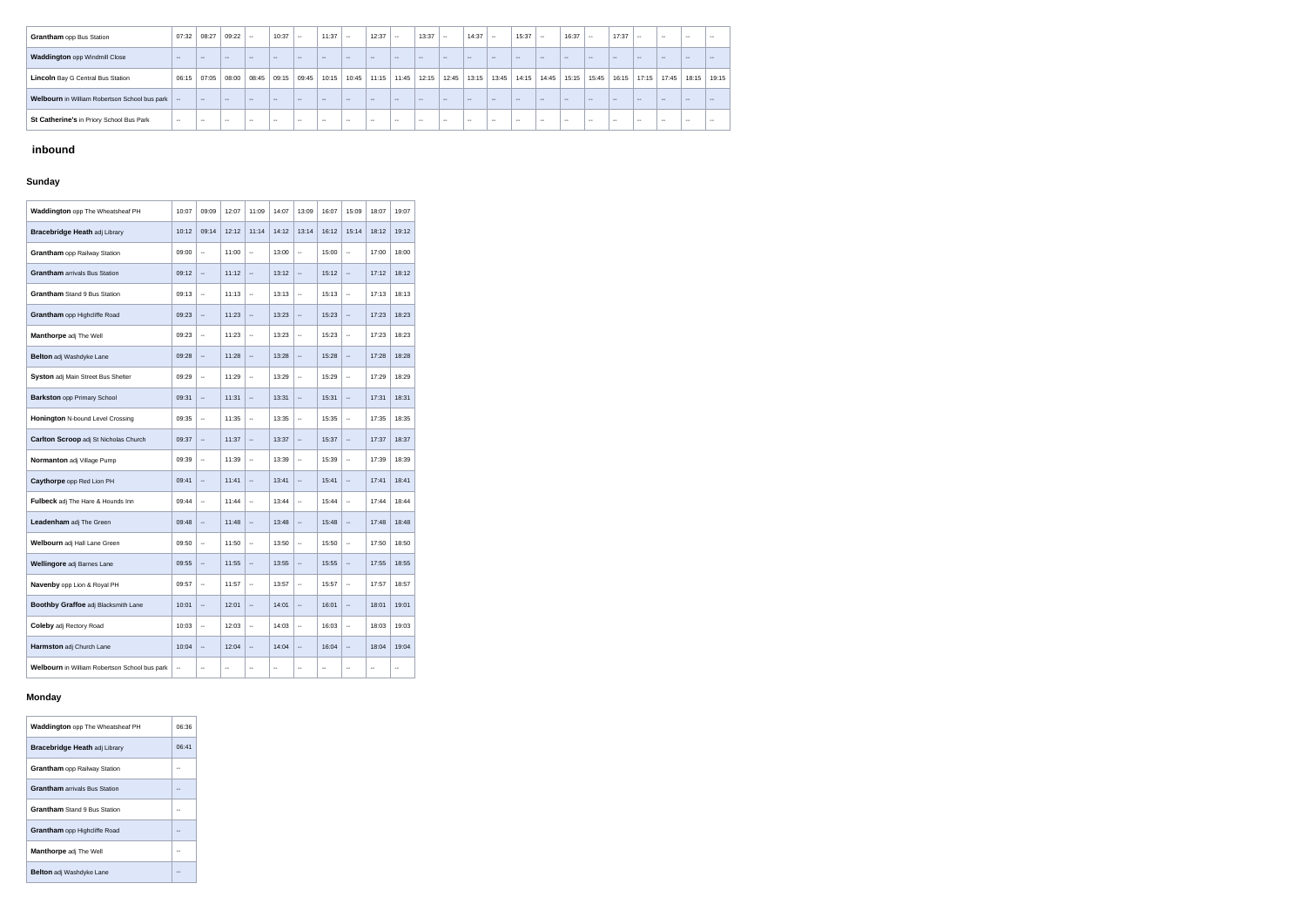| <b>Grantham</b> opp Bus Station                           | 07:32         | 08:27      | 09:22         | $\sim$ | 10:37  | $\sim$        | 11:37  | $\sim$        | 12:37         | $\sim$ | 13:37  | $\sim$        | 14:37         | $\sim$        | 15:37         | $\sim$ | 16:37         | $\sim$ $\sim$ | 17:37         | $\sim$        | $- -$  | $\sim$ $\sim$ | $\sim$ |
|-----------------------------------------------------------|---------------|------------|---------------|--------|--------|---------------|--------|---------------|---------------|--------|--------|---------------|---------------|---------------|---------------|--------|---------------|---------------|---------------|---------------|--------|---------------|--------|
| Waddington opp Windmill Close                             | $\sim$ $\sim$ | $\sim$ $-$ | $\sim$        | $\sim$ | $\sim$ | $\sim$ $\sim$ | $- -$  | $\sim$ $\sim$ | $\sim$        | $\sim$ | $\sim$ | $\sim$        | $\sim$ $\sim$ | $\sim$        | $\sim$        | $\sim$ | $\sim$        | $\sim$ $\sim$ | $\sim$ $\sim$ | $\sim$        | $\sim$ | $\sim$        | $\sim$ |
| <b>Lincoln</b> Bay G Central Bus Station                  | 06:15         | 07:05      | 08:00         | 08:45  | 09:15  | 09:45         | 10:15  | 10:45         | 11:15         | 11:45  | 12:15  | 12:45         | 13:15         | 13:45         | 14:15         | 14:45  | 15:15         | 15:45         | 16:15         | 17:15         | 17:45  | 18:15         | 19:15  |
| <b>Welbourn</b> in William Robertson School bus park   -- |               | $\sim$ $-$ | $- -$         | $\sim$ | $- -$  | $\sim$ $\sim$ | $\sim$ | $\sim$        | $\sim$        | $\sim$ | $- -$  | $\sim$        | $\sim$ $\sim$ | $\sim$        | $\sim$        | $-$    | $\sim$        | $\sim$ $\sim$ | $\sim$ $-$    | $\sim$        | $\sim$ | $- -$         | $\sim$ |
| St Catherine's in Priory School Bus Park                  | $\sim$ $\sim$ | $- -$      | $\sim$ $\sim$ | $\sim$ | $-1$   | $\sim$ $\sim$ | $- -$  | $\sim$ $\sim$ | $\sim$ $\sim$ | $\sim$ |        | $\sim$ $\sim$ | $- -$         | $\sim$ $\sim$ | $\sim$ $\sim$ | $- -$  | $\sim$ $\sim$ | $-1$          | $\sim$ $\sim$ | $\sim$ $\sim$ | $-1$   | $\sim$ $\sim$ | $\sim$ |

# **inbound**

# **Sunday**

| Waddington opp The Wheatsheaf PH              | 10:07                    | 09:09                    | 12:07          | 11:09                    | 14:07                    | 13:09                                         | 16:07 | 15:09                                         | 18:07                    | 19:07                    |
|-----------------------------------------------|--------------------------|--------------------------|----------------|--------------------------|--------------------------|-----------------------------------------------|-------|-----------------------------------------------|--------------------------|--------------------------|
| <b>Bracebridge Heath adj Library</b>          | 10:12                    | 09:14                    | 12:12          | 11:14                    | 14:12                    | 13:14                                         | 16:12 | 15:14                                         | 18:12                    | 19:12                    |
| <b>Grantham</b> opp Railway Station           | 09:00                    | $\overline{\phantom{a}}$ | 11:00          | Ξ.                       | 13:00                    | $\mathord{\hspace{1pt}\text{--}\hspace{1pt}}$ | 15:00 | $\overline{\phantom{a}}$                      | 17:00                    | 18:00                    |
| <b>Grantham</b> arrivals Bus Station          | 09:12                    | $\overline{\phantom{a}}$ | 11:12          | $\overline{\phantom{a}}$ | 13:12                    | $\mathord{\hspace{1pt}\text{--}\hspace{1pt}}$ | 15:12 | $\mathord{\hspace{1pt}\text{--}\hspace{1pt}}$ | 17:12                    | 18:12                    |
| <b>Grantham</b> Stand 9 Bus Station           | 09:13                    | Ξ.                       | 11:13          | Ξ.                       | 13:13                    | $\mathbf{u}$                                  | 15:13 | $\mathord{\hspace{1pt}\text{--}\hspace{1pt}}$ | 17:13                    | 18:13                    |
| Grantham opp Highcliffe Road                  | 09:23                    | $\overline{\phantom{a}}$ | 11:23          | $\overline{\phantom{a}}$ | 13:23                    | $\mathord{\hspace{1pt}\text{--}\hspace{1pt}}$ | 15:23 | $\overline{\phantom{a}}$                      | 17:23                    | 18:23                    |
| Manthorpe adj The Well                        | 09:23                    | ۰.                       | 11:23          | $\overline{\phantom{a}}$ | 13:23                    | $\mathord{\text{--}}$                         | 15:23 | $\overline{\phantom{a}}$                      | 17:23                    | 18:23                    |
| Belton adj Washdyke Lane                      | 09:28                    | --                       | 11:28          | $\overline{a}$           | 13:28                    | $\mathord{\hspace{1pt}\text{--}\hspace{1pt}}$ | 15:28 | $\overline{\phantom{a}}$                      | 17:28                    | 18:28                    |
| Syston adj Main Street Bus Shelter            | 09:29                    | --                       | 11:29          | Ξ.                       | 13:29                    | $\mathord{\hspace{1pt}\text{--}\hspace{1pt}}$ | 15:29 | $\overline{\phantom{a}}$                      | 17:29                    | 18:29                    |
| <b>Barkston opp Primary School</b>            | 09:31                    | $\overline{\phantom{a}}$ | 11:31          | Щ,                       | 13:31                    | $\mathord{\hspace{1pt}\text{--}\hspace{1pt}}$ | 15:31 | --                                            | 17:31                    | 18:31                    |
| Honington N-bound Level Crossing              | 09:35                    | --                       | 11:35          | Ξ.                       | 13:35                    | $\mathord{\hspace{1pt}\text{--}\hspace{1pt}}$ | 15:35 | Ξ.                                            | 17:35                    | 18:35                    |
| Carlton Scroop adj St Nicholas Church         | 09:37                    | ٠.                       | 11:37          | $\overline{\phantom{a}}$ | 13:37                    | $\overline{\phantom{a}}$                      | 15:37 | $\overline{\phantom{a}}$                      | 17:37                    | 18:37                    |
| Normanton adj Village Pump                    | 09:39                    | ۰.                       | 11:39          | $\overline{\phantom{a}}$ | 13:39                    | $\mathord{\hspace{1pt}\text{--}\hspace{1pt}}$ | 15:39 | --                                            | 17:39                    | 18:39                    |
| Caythorpe opp Red Lion PH                     | 09:41                    | $\overline{\phantom{a}}$ | 11:41          | $\overline{\phantom{a}}$ | 13:41                    | $\mathord{\hspace{1pt}\text{--}\hspace{1pt}}$ | 15:41 | --                                            | 17:41                    | 18:41                    |
| Fulbeck adj The Hare & Hounds Inn             | 09:44                    | --                       | 11:44          | $\overline{\phantom{a}}$ | 13:44                    | $\mathord{\text{--}}$                         | 15:44 | $\overline{\phantom{a}}$                      | 17:44                    | 18:44                    |
| Leadenham adj The Green                       | 09:48                    | $\overline{\phantom{a}}$ | 11:48          | $\overline{\phantom{a}}$ | 13:48                    | $\mathord{\hspace{1pt}\text{--}\hspace{1pt}}$ | 15:48 | $\mathord{\hspace{1pt}\text{--}\hspace{1pt}}$ | 17:48                    | 18:48                    |
| <b>Welbourn</b> adj Hall Lane Green           | 09:50                    | $\overline{\phantom{a}}$ | 11:50          | $\overline{\phantom{a}}$ | 13:50                    | $\mathord{\text{--}}$                         | 15:50 | $\overline{\phantom{a}}$                      | 17:50                    | 18:50                    |
| Wellingore adj Barnes Lane                    | 09:55                    | Ξ.                       | 11:55          | Щ,                       | 13:55                    | $\overline{\phantom{a}}$                      | 15:55 | $\overline{\phantom{a}}$                      | 17:55                    | 18:55                    |
| Navenby opp Lion & Royal PH                   | 09:57                    | ۰.                       | 11:57          | $\overline{\phantom{a}}$ | 13:57                    | $\overline{\phantom{a}}$                      | 15:57 | $\overline{\phantom{a}}$                      | 17:57                    | 18:57                    |
| Boothby Graffoe adj Blacksmith Lane           | 10:01                    | -−                       | 12:01          | $\overline{\phantom{a}}$ | 14:01                    | $\overline{\phantom{a}}$                      | 16:01 | н,                                            | 18:01                    | 19:01                    |
| <b>Coleby adj Rectory Road</b>                | 10:03                    | --                       | 12:03          | $\overline{\phantom{a}}$ | 14:03                    | $\overline{\phantom{a}}$                      | 16:03 | $\overline{\phantom{a}}$                      | 18:03                    | 19:03                    |
| Harmston adj Church Lane                      | 10:04                    | $\frac{1}{2}$            | 12:04          | Щ,                       | 14:04                    | $\overline{\phantom{a}}$                      | 16:04 | $\overline{\phantom{a}}$                      | 18:04                    | 19:04                    |
| Welbourn in William Robertson School bus park | $\overline{\phantom{a}}$ | ۰.                       | $\mathbb{L}^2$ | $\overline{\phantom{a}}$ | $\overline{\phantom{a}}$ | $\mathbb{L}^2$                                | Ξ.    | $\mathbb{L}^{\perp}$                          | $\overline{\phantom{a}}$ | $\overline{\phantom{a}}$ |

## **Monday**

| <b>Waddington</b> opp The Wheatsheaf PH | 06:36 |
|-----------------------------------------|-------|
| <b>Bracebridge Heath adj Library</b>    | 06:41 |
| <b>Grantham</b> opp Railway Station     |       |
| <b>Grantham</b> arrivals Bus Station    |       |
| <b>Grantham</b> Stand 9 Bus Station     |       |
| <b>Grantham</b> opp Highcliffe Road     |       |
| <b>Manthorpe</b> adj The Well           |       |
| <b>Belton</b> adj Washdyke Lane         |       |

| 19:15 |
|-------|
|       |
| ı.    |
|       |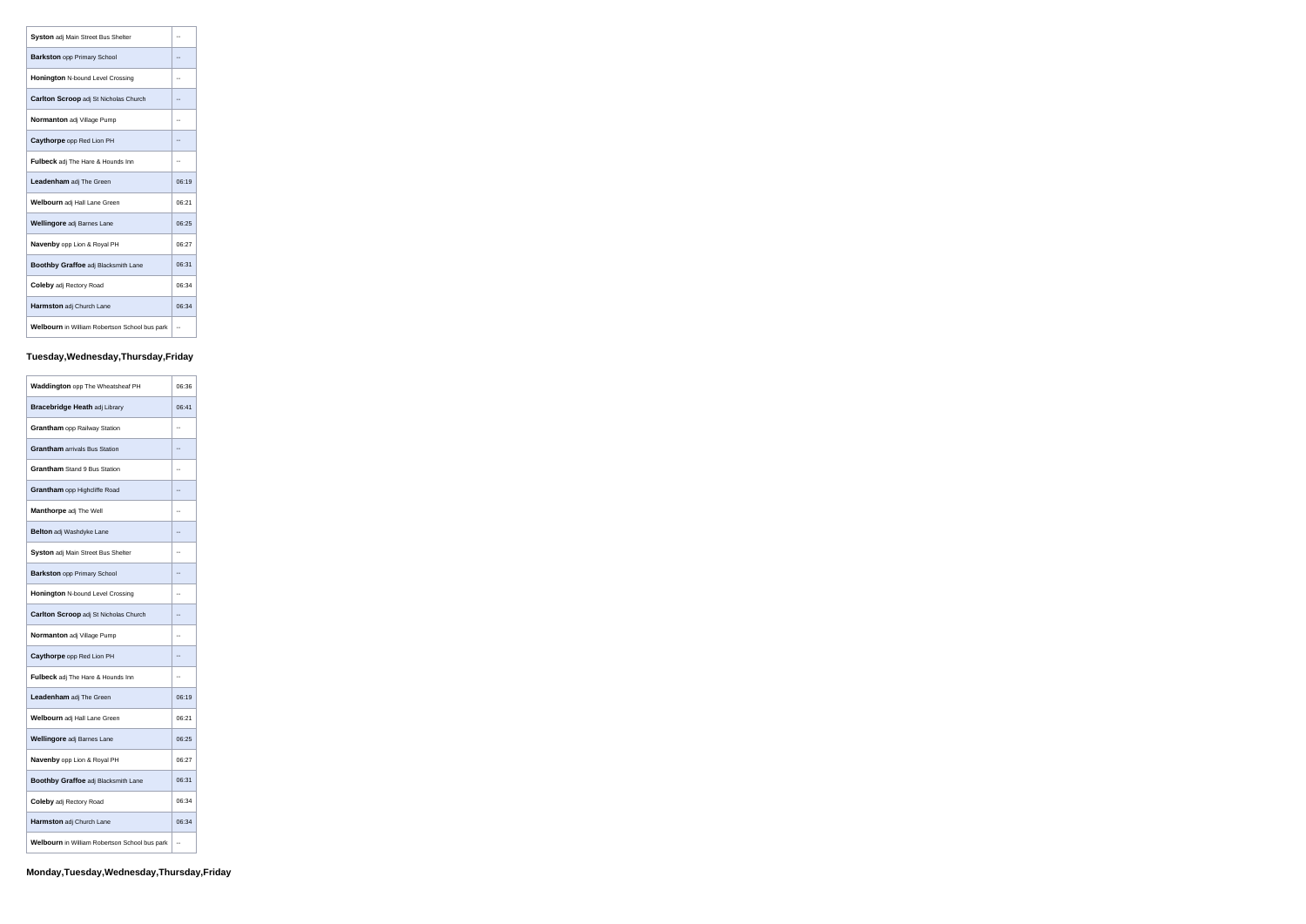| <b>Syston adj Main Street Bus Shelter</b>            | --    |
|------------------------------------------------------|-------|
| <b>Barkston</b> opp Primary School                   |       |
| <b>Honington N-bound Level Crossing</b>              | --    |
| <b>Carlton Scroop</b> adj St Nicholas Church         |       |
| <b>Normanton</b> adj Village Pump                    |       |
| <b>Caythorpe</b> opp Red Lion PH                     | --    |
| <b>Fulbeck</b> adj The Hare & Hounds Inn             | --    |
| <b>Leadenham</b> adj The Green                       | 06:19 |
| Welbourn adj Hall Lane Green                         | 06:21 |
| Wellingore adj Barnes Lane                           | 06:25 |
| Navenby opp Lion & Royal PH                          | 06:27 |
| <b>Boothby Graffoe adj Blacksmith Lane</b>           | 06:31 |
| <b>Coleby adj Rectory Road</b>                       | 06:34 |
| <b>Harmston</b> adj Church Lane                      | 06:34 |
| <b>Welbourn</b> in William Robertson School bus park |       |

# **Tuesday,Wednesday,Thursday,Friday**

| Waddington opp The Wheatsheaf PH              | 06:36 |
|-----------------------------------------------|-------|
| Bracebridge Heath adj Library                 | 06:41 |
| <b>Grantham</b> opp Railway Station           | --    |
| <b>Grantham</b> arrivals Bus Station          |       |
| <b>Grantham</b> Stand 9 Bus Station           | --    |
| Grantham opp Highcliffe Road                  | --    |
| Manthorpe adj The Well                        | --    |
| <b>Belton</b> adj Washdyke Lane               | --    |
| Syston adj Main Street Bus Shelter            | --    |
| <b>Barkston opp Primary School</b>            | ٠.    |
| <b>Honington N-bound Level Crossing</b>       | --    |
| Carlton Scroop adj St Nicholas Church         |       |
| Normanton adj Village Pump                    | --    |
| Caythorpe opp Red Lion PH                     | --    |
| <b>Fulbeck</b> adj The Hare & Hounds Inn      | --    |
| <b>Leadenham</b> adj The Green                | 06:19 |
| Welbourn adj Hall Lane Green                  | 06:21 |
| Wellingore adj Barnes Lane                    | 06:25 |
| <b>Navenby opp Lion &amp; Royal PH</b>        | 06:27 |
| Boothby Graffoe adj Blacksmith Lane           | 06:31 |
| <b>Coleby adj Rectory Road</b>                | 06:34 |
| Harmston adj Church Lane                      | 06:34 |
| Welbourn in William Robertson School bus park |       |

 $\overline{a}$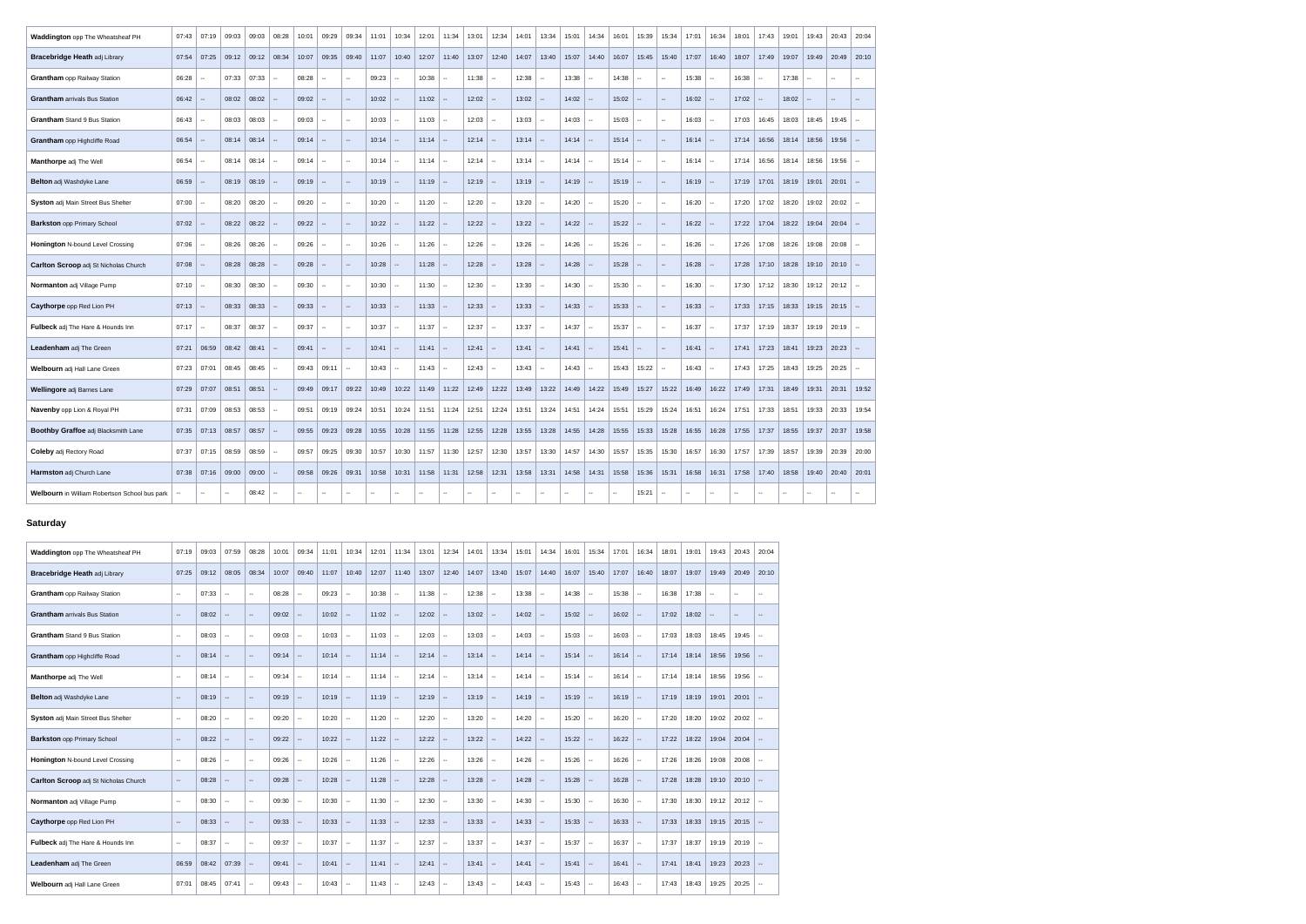| Waddington opp The Wheatsheaf PH              | 07:43 | 07:19                    | 09:03  | 09:03         | 08:28         | 10:01  | 09:29                   | 09:34         | 11:01     | 10:34                    | 12:01           | 11:34                                          | 13:01  | 12:34                                 | 14:01                                   | 13:34         | 15:01                    | 14:34                 | 16:01         | 15:39  | 15:34                    | 17:01                         | 16:34                    | 18:01         | 17:43                    | 19:01  | 19:43                    | 20:43   20:04            |                  |
|-----------------------------------------------|-------|--------------------------|--------|---------------|---------------|--------|-------------------------|---------------|-----------|--------------------------|-----------------|------------------------------------------------|--------|---------------------------------------|-----------------------------------------|---------------|--------------------------|-----------------------|---------------|--------|--------------------------|-------------------------------|--------------------------|---------------|--------------------------|--------|--------------------------|--------------------------|------------------|
| <b>Bracebridge Heath adj Library</b>          | 07:54 | 07:25                    | 09:12  | 09:12         | 08:34         | 10:07  | 09:35                   | 09:40         | 11:07     | 10:40                    | 12:07           | 11:40                                          | 13:07  | 12:40                                 | 14:07                                   | 13:40         | 15:07                    | 14:40                 | 16:07         | 15:45  | 15:40                    | 17:07                         | 16:40                    | 18:07         | 17:49                    | 19:07  | 19:49                    | 20:49                    | 20:10            |
| <b>Grantham</b> opp Railway Station           | 06:28 |                          | 07:33  | 07:33         | $\sim$        | 08:28  | $\sim$                  | $\sim$        | 09:23     | $\overline{\phantom{a}}$ | 10:38           |                                                | 11:38  | $\sim$                                | 12:38                                   | $\sim$        | 13:38                    | $\sim$                | 14:38         | $\sim$ | $\sim$                   | 15:38                         | $\sim$                   | 16:38         | $\sim$                   | 17:38  | $\overline{\phantom{a}}$ | $\overline{\phantom{a}}$ | $\sim$ $\sim$    |
| <b>Grantham</b> arrivals Bus Station          | 06:42 | - 1                      | 08:02  | 08:02         | -44           | 09:02  | $\sim$                  | $\sim$        | 10:02     | $\sim$                   | 11:02           | $\overline{\phantom{a}}$                       | 12:02  | $\sim$                                | 13:02                                   | $\sim$        | 14:02                    | $\sim$                | 15:02         | $\sim$ | $\sim$                   | 16:02                         | $\sim$                   | 17:02         | $\sim$                   | 18:02  | $\overline{\phantom{a}}$ | $\sim$ $\sim$            | $\sim$ $-$       |
| <b>Grantham</b> Stand 9 Bus Station           | 06:43 | $\sim$                   | 08:03  | 08:03         | $\sim$        | 09:03  | $\sim$                  | $\sim$        | 10:03     | $\sim$                   | 11:03           | $\sim$                                         | 12:03  | $\sim$                                | 13:03                                   | $\sim$        | 14:03                    | $\sim$                | 15:03         | $\sim$ | н.                       | 16:03                         | $\sim$                   | 17:03         | 16:45                    | 18:03  | 18:45                    | 19:45                    | $\sim$           |
| Grantham opp Highcliffe Road                  | 06:54 |                          | 08:14  | 08:14         |               | 09:14  | $\sim$                  | $\sim$        | 10:14     | $\sim$                   | 11:14           |                                                | 12:14  | $\overline{\phantom{a}}$              | 13:14                                   | $\sim$        | 14:14                    | $\sim$                | 15:14         | $\sim$ | $\mathbf{u}$             | 16:14                         | $\sim$                   | 17:14         | 16:56                    | 18:14  | 18:56                    | 19:56                    | $\sim$           |
| Manthorpe adj The Well                        | 06:54 | $\sim$                   | 08:14  | 08:14         | $\sim$ $-$    | 09:14  | $\sim$                  | $\sim$ $\sim$ | 10:14     | $\sim$                   | 11:14           |                                                | 12:14  | $\sim$                                | 13:14                                   | $\sim$        | 14:14                    | $\sim$                | 15:14         | $\sim$ | $\mathbf{m}$             | 16:14                         | --                       | 17:14         | 16:56                    | 18:14  | 18:56                    | 19:56                    | $\sim$           |
| Belton adj Washdyke Lane                      | 06:59 | $\sim$                   | 08:19  | 08:19         | $\sim$        | 09:19  | $\sim$                  | $\sim$        | $10:19$ - |                          | 11:19           | $\sim$                                         | 12:19  | $\sim$                                | $13:19$ --                              |               | $14:19$ --               |                       | 15:19         | $\sim$ | $\sim$                   | 16:19                         | $\overline{\phantom{a}}$ | 17:19         | 17:01                    | 18:19  | 19:01                    | 20:01                    | $\sim$           |
| Syston adj Main Street Bus Shelter            | 07:00 | $\sim$                   | 08:20  | 08:20         | $\sim$        | 09:20  | $\sim$                  | $\sim$        | 10:20     | $\overline{a}$           | 11:20           | $\overline{\phantom{a}}$                       | 12:20  | $\sim$                                | 13:20                                   | $\sim$        | 14:20                    | $\sim$                | 15:20         | $\sim$ | $\sim$                   | 16:20                         | --                       | 17:20         | 17:02                    | 18:20  | 19:02                    | $20:02$ -                |                  |
| <b>Barkston opp Primary School</b>            | 07:02 | $\sim$                   | 08:22  | 08:22         | $\sim$ $\sim$ | 09:22  | $\sim$                  | $\sim$        | 10:22     | $\sim$                   | 11:22           |                                                | 12:22  | $\overline{\phantom{a}}$              | 13:22                                   | $\sim$        | $14.22$ -                |                       | 15:22         | $\sim$ | $\sim$                   | 16:22                         | $\sim$                   | 17:22         | 17:04                    | 18:22  | 19:04                    | 20:04                    | $\sim$           |
| Honington N-bound Level Crossing              | 07:06 | $\sim$                   | 08:26  | 08:26         | $\sim$ $-$    | 09:26  | $\sim$                  | $\sim$        | 10:26     | $\sim$                   | 11:26           | $\overline{\phantom{a}}$                       | 12:26  | $\sim$                                | 13:26                                   | $\sim$        | 14:26                    | $\sim$                | 15:26         | $\sim$ | $\sim$                   | 16:26                         | $\sim$                   | 17:26         | 17:08                    | 18:26  | 19:08                    | 20:08                    | $\sim$           |
| Carlton Scroop adj St Nicholas Church         | 07:08 | $\sim$                   | 08:28  | 08:28         | $\sim$        | 09:28  | $\sim$                  | $\sim$        | 10:28     | $\sim$ $\sim$            | 11:28           | $\sim$                                         | 12:28  | $\sim$                                | 13:28                                   | $\sim$        | 14:28                    | l --                  | 15:28         | $\sim$ | $\sim$ $\sim$            | 16:28                         | $\sim$ $\sim$            | 17:28         | 17:10                    | 18:28  | 19:10                    | $20:10$ -                |                  |
| Normanton adj Village Pump                    | 07:10 | $\sim$                   | 08:30  | 08:30         | $\sim$ $-$    | 09:30  | $\sim$                  | $\sim$        | 10:30     | $\sim$                   | 11:30           |                                                | 12:30  | $\sim$                                | 13:30                                   | $\sim$        | 14:30                    | $\sim$                | 15:30         | $\sim$ | н.                       | 16:30                         | $\sim$                   | 17:30         | 17:12                    | 18:30  | 19:12                    | $20:12$ -                |                  |
| Caythorpe opp Red Lion PH                     | 07:13 |                          | 08:33  | 08:33         | -44           | 09:33  | $\sim$                  | $\sim$        | 10:33     | $\sim$ $\sim$            | 11:33           |                                                | 12:33  | $\sim$                                | 13:33                                   | $\sim$ $\sim$ | 14.33                    | $\sim$                | 15:33         | $\sim$ | $\overline{\phantom{a}}$ | 16:33                         | $\sim$ $\sim$            | 17:33         | 17:15                    | 18:33  | 19:15                    | $20:15$ -                |                  |
| Fulbeck adj The Hare & Hounds Inn             | 07:17 | $\sim$                   | 08:37  | 08:37         | $\sim$        | 09:37  | $\sim$                  | $\sim$        | 10:37     | $\sim$                   | 11:37           | $\overline{\phantom{a}}$                       | 12:37  | $\sim$                                | 13:37                                   | $\sim$        | 14:37                    | $\sim$                | 15:37         | $\sim$ | $\sim$                   | 16:37                         | $\sim$                   | 17:37         | 17:19                    | 18:37  | 19:19                    | $20:19$ $-$              |                  |
| Leadenham adj The Green                       | 07:21 | 06:59                    | 08:42  | 08:41         | $\sim$        | 09:41  | $\sim$                  | $\sim$        | 10:41     | $\sim$                   | 11:41           | $\sim$                                         | 12:41  | $\sim$                                | 13:41                                   | $\sim$        | 14:41                    | $\sim$                | 15:41         | $\sim$ | $\sim$                   | 16:41                         | $\sim$ $ \sim$           | 17:41         | 17:23                    | 18:41  | 19:23                    | 20:23                    | $\sim$           |
| Welbourn adj Hall Lane Green                  | 07:23 | 07:01                    | 08:45  | 08:45         | $\sim$ $-$    | 09:43  | 09:11                   | $\sim$        | 10:43     | $\sim$                   | 11:43           | $\sim$                                         | 12:43  | $\sim$                                | 13:43                                   | $\sim$ $\sim$ | 14:43                    | $\sim$                | 15:43         | 15:22  | $\mathbf{m}$             | 16:43                         | $\sim$                   | 17:43         | 17:25                    | 18:43  | 19:25                    | 20:25                    | $\bullet\bullet$ |
| Wellingore adj Barnes Lane                    | 07:29 | 07:07                    | 08:51  | 08:51         | $\ $ --       | 09:49  | $09:17$ 09:22           |               | 10:49     | 10:22                    | $11:49$ 11:22   |                                                |        | $12:49$ 12:22                         | 13:49                                   | 13:22         | 14:49                    |                       | $14.22$ 15:49 | 15:27  | 15:22                    | 16:49                         | 16:22                    | 17:49         | 17:31                    | 18:49  | 19:31                    | 20:31                    | 19:52            |
| Navenby opp Lion & Royal PH                   | 07:31 | 07:09                    | 08:53  | $  08:53   -$ |               | 09:51  | $09:19$ 09:24           |               | 10:51     | 10:24                    |                 |                                                |        |                                       | $11:51$   11:24   12:51   12:24   13:51 | 13:24         | 14:51                    | 14:24                 | 15:51         | 15:29  | 15:24                    |                               | 16:51   16:24            | 17:51         | 17:33                    | 18:51  | 19:33                    | 20:33   19:54            |                  |
| Boothby Graffoe adj Blacksmith Lane           | 07:35 | 07:13                    | 08:57  | $08:57$ --    |               |        | $09.55$   09:23   09:28 |               | 10:55     | 10:28                    | $11:55$   11:28 |                                                |        | 12:55   12:28   13:55                 |                                         | 13:28         |                          | 14:55   14:28   15:55 |               |        |                          | 15:33   15:28   16:55   16:28 |                          | 17:55 17:37   |                          | 18:55  | 19:37                    | 20:37                    | 19:58            |
| <b>Coleby adj Rectory Road</b>                | 07:37 | 07:15                    | 08:59  | $08:59$ -     |               | 09:57  | 09:25                   | 09:30         | 10:57     | 10:30                    |                 |                                                |        | 11:57   11:30   12:57   12:30   13:57 |                                         | 13:30         | 14:57                    | 14:30                 | 15:57         | 15:35  | 15:30 $ $                | 16:57                         | 16:30                    | 17:57         | 17:39                    | 18:57  | 19:39                    | 20:39 20:00              |                  |
| Harmston adj Church Lane                      | 07:38 | 07:16                    | 09:00  | $09:00$ --    |               | 09:58  | 09:26                   | 09:31         | 10:58     | 10:31                    | $11:58$   11:31 |                                                |        |                                       | 12:58   12:31   13:58   13:31           |               | 14:58                    | 14:31                 | 15:58         | 15:36  | 15:31                    | 16:58                         | 16:31                    | 17:58         | 17:40                    | 18:58  | 19:40                    | 20:40   20:01            |                  |
| Welbourn in William Robertson School bus park |       | $\overline{\phantom{a}}$ | $\sim$ | 08:42         | $\sim$        | $\sim$ | $\sim$                  | $\sim$        | $\sim$    | $\overline{\phantom{a}}$ | $\sim$          | $\hspace{0.1mm}-\hspace{0.1mm}-\hspace{0.1mm}$ | $\sim$ | $\overline{\phantom{a}}$              | $\sim$                                  | $\sim$        | $\overline{\phantom{a}}$ | $\sim$                | $\sim$        | 15:21  | $\sim$                   | $\sim$                        | $\sim$                   | $\sim$ $\sim$ | $\overline{\phantom{a}}$ | $\sim$ | $\sim$                   | $\sim$                   | $\sim$ $\sim$    |

## **Saturday**

| Waddington opp The Wheatsheaf PH             | 07:19                       | 09:03 | 07:59                       | 08:28                    | 10:01 | 09:34                    | 11:01 | 10:34                    | 12:01 | 11:34                       | 13:01 | 12:34                    | 14:01 | 13:34                    | 15:01 | 14:34  | 16:01 | 15:34                       | 17:01 | 16:34         | 18:01 | 19:01 | 19:43                     | 20:43  | 20:04                    |
|----------------------------------------------|-----------------------------|-------|-----------------------------|--------------------------|-------|--------------------------|-------|--------------------------|-------|-----------------------------|-------|--------------------------|-------|--------------------------|-------|--------|-------|-----------------------------|-------|---------------|-------|-------|---------------------------|--------|--------------------------|
| <b>Bracebridge Heath adj Library</b>         | 07:25                       | 09:12 | 08:05                       | 08:34                    | 10:07 | 09:40                    | 11:07 | 10:40                    | 12:07 | 11:40                       | 13:07 | 12:40                    | 14:07 | 13:40                    | 15:07 | 14:40  | 16:07 | 15:40                       | 17:07 | 16:40         | 18:07 | 19:07 | 19:49                     | 20:49  | 20:10                    |
| <b>Grantham</b> opp Railway Station          | $\sim$                      | 07:33 | $\sim$                      | $\sim$                   | 08:28 | $\sim$                   | 09:23 | $\sim$ $-$               | 10:38 | $\sim$                      | 11:38 | $\sim$                   | 12:38 | $\sim$                   | 13:38 | $\sim$ | 14:38 | $\sim$                      | 15:38 | $\sim$        | 16:38 | 17:38 | $\sim$                    | $\sim$ | $\sim$                   |
| <b>Grantham</b> arrivals Bus Station         | $\mathcal{L}_{\mathcal{A}}$ | 08:02 | $\sim$                      | $\sim$                   | 09:02 | $\sim$                   | 10:02 | $\sim$ $\sim$            | 11:02 | $\sim$                      | 12:02 | $\sim$                   | 13:02 | $\sim$                   | 14:02 | $\sim$ | 15:02 | $\sim$                      | 16:02 | $\sim$        | 17:02 | 18:02 | $\mathbb{H}^{\mathbb{Z}}$ | $- -$  | $\sim$ $\sim$            |
| <b>Grantham</b> Stand 9 Bus Station          | $\sim$                      | 08:03 | $\sim$                      | $\sim$                   | 09:03 | $\sim$                   | 10:03 | $\sim$                   | 11:03 | $\sim$                      | 12:03 | $\sim$                   | 13:03 | $\sim$                   | 14:03 | $\sim$ | 15:03 | $\sim$                      | 16:03 | $\sim$        | 17:03 | 18:03 | 18:45                     | 19:45  | $\sim$                   |
| Grantham opp Highcliffe Road                 | $\sim$                      | 08:14 | $-$                         | $\sim$                   | 09:14 | $\sim$                   | 10:14 | $\sim$                   | 11:14 | $\sim$ $\sim$               | 12:14 | $\sim$                   | 13:14 | $\sim$                   | 14:14 | $\sim$ | 15:14 | $\mathcal{L}_{\mathcal{F}}$ | 16:14 | $\sim$ $\sim$ | 17:14 | 18:14 | 18:56                     | 19:56  | $\sim$                   |
| Manthorpe adj The Well                       | $\sim$                      | 08:14 | $\sim$                      | $\sim$                   | 09:14 | $\sim$                   | 10:14 | $\sim$                   | 11:14 | $\sim$                      | 12:14 | $\sim$                   | 13:14 | $\sim$                   | 14:14 | $\sim$ | 15:14 | $\sim$                      | 16:14 | $\sim$        | 17:14 | 18:14 | 18:56                     | 19:56  | $\sim$                   |
| <b>Belton</b> adj Washdyke Lane              | $\sim$                      | 08:19 | $\sim$                      | $\sim$                   | 09:19 | $\sim$                   | 10:19 | $\sim$ $\sim$            | 11:19 | $\sim$                      | 12:19 | $\sim$                   | 13:19 | $\sim$                   | 14:19 | $\sim$ | 15:19 | $\sim$                      | 16:19 | $\sim$        | 17:19 | 18:19 | 19:01                     | 20:01  | $\sim$                   |
| Syston adj Main Street Bus Shelter           | $\sim$                      | 08:20 | $\sim$                      | $\sim$                   | 09:20 | $\sim$                   | 10:20 | $\sim$                   | 11:20 | $\sim$                      | 12:20 | $\sim$                   | 13:20 | $\sim$                   | 14:20 | $\sim$ | 15:20 | $\sim$                      | 16:20 | $\sim$        | 17:20 | 18:20 | 19:02                     | 20:02  | $\sim$                   |
| <b>Barkston opp Primary School</b>           | $\sim$                      | 08:22 | $\sim$                      | $\sim$                   | 09:22 | $\sim$                   | 10:22 | $\sim$                   | 11:22 | $\sim$ $\sim$               | 12:22 | $\sim$                   | 13:22 | $\sim$                   | 14:22 | $\sim$ | 15:22 | $\mathcal{L}_{\mathcal{F}}$ | 16:22 | $\sim$ $\sim$ | 17:22 | 18:22 | 19:04                     | 20:04  | $\sim$                   |
| Honington N-bound Level Crossing             | $\sim$                      | 08:26 | $\mathcal{L}_{\mathcal{A}}$ | $\overline{\phantom{a}}$ | 09:26 | $\sim$                   | 10:26 | $\sim$                   | 11:26 | $\sim$                      | 12:26 | $\sim$                   | 13:26 | $\sim$                   | 14:26 | $\sim$ | 15:26 | $\sim$                      | 16:26 | $\sim$        | 17:26 | 18:26 | 19:08                     | 20:08  | $\overline{\phantom{a}}$ |
| <b>Carlton Scroop adj St Nicholas Church</b> | $\sim$                      | 08:28 | $\sim$                      | $\sim$                   | 09:28 | $\sim$                   | 10:28 | $\sim$                   | 11:28 | $\sim$ $\sim$               | 12:28 | $\sim$                   | 13:28 | $\sim$                   | 14:28 | $\sim$ | 15:28 | $\mathcal{L}_{\mathcal{F}}$ | 16:28 | $\sim$ $\sim$ | 17:28 | 18:28 | 19:10                     | 20:10  | $\sim$                   |
| Normanton adj Village Pump                   | $\sim$                      | 08:30 | $\sim$                      | $\sim$                   | 09:30 | $\sim$                   | 10:30 | $\sim$                   | 11:30 | $\mathbf{u}$                | 12:30 | $\sim$                   | 13:30 | $\sim$                   | 14:30 | $\sim$ | 15:30 | $\sim$                      | 16:30 | $\mathbf{u}$  | 17:30 | 18:30 | 19:12                     | 20:12  | $\sim$                   |
| Caythorpe opp Red Lion PH                    | $\sim$                      | 08.33 | $\sim$                      | $\sim$                   | 09:33 | $\sim$                   | 10:33 | $\sim$                   | 11:33 | $\sim$                      | 12:33 | $\sim$                   | 13:33 | $\sim$                   | 14:33 | $\sim$ | 15:33 | $\sim$                      | 16:33 | $\sim$        | 17:33 | 18:33 | 19:15                     | 20:15  | $\sim$                   |
| Fulbeck adj The Hare & Hounds Inn            | $\sim$ $-$                  | 08:37 | $\mathbf{e} = \mathbf{e}$   | $\sim$                   | 09:37 | $\omega_{\rm m}$         | 10:37 | $\sim$                   | 11:37 | $\sim$                      | 12:37 | $\sim$                   | 13:37 | $\sim$                   | 14:37 | $\sim$ | 15:37 | $\sim$                      | 16:37 | $\sim$        | 17:37 | 18:37 | 19:19                     | 20:19  | $\sim$                   |
| Leadenham adj The Green                      | 06:59                       | 08:42 | 07:39                       | $\sim$                   | 09:41 | $\sim$                   | 10:41 | $\sim$                   | 11:41 | $\mathcal{L}_{\mathcal{F}}$ | 12:41 | $\sim$                   | 13:41 | $\sim$                   | 14:41 | $\sim$ | 15:41 | $\mathcal{L}_{\mathcal{F}}$ | 16:41 | $\sim$        | 17:41 | 18:41 | 19:23                     | 20:23  | $\sim$                   |
| Welbourn adj Hall Lane Green                 | 07:01                       | 08:45 | 07:41                       | $\sim$                   | 09:43 | $\overline{\phantom{a}}$ | 10:43 | $\overline{\phantom{a}}$ | 11:43 | $\mathbf{u}$                | 12:43 | $\overline{\phantom{a}}$ | 13:43 | $\overline{\phantom{a}}$ | 14:43 | $\sim$ | 15:43 | $\sim$                      | 16:43 | $\sim$        | 17:43 | 18:43 | 19:25                     | 20:25  | $\sim$                   |